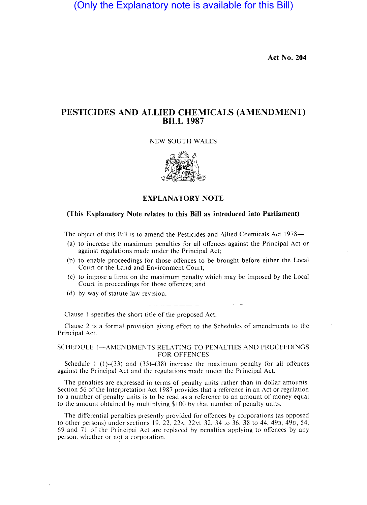(Only the Explanatory note is available for this Bill)

**Act No. 204** 

# **PESTICIDES AND ALLIED CHEMICALS (AMENDMENT) BILL 1987**

#### NEW SOUTH WALES



### **EXPLANATORY NOTE**

# **(This Explanatory Note relates to this Bill as introduced into Parliament)**

The object of this Bill is to amend the Pesticides and Allied Chemicals Act 1978-

- (a) to increase the maximum penalties for all offences against the Principal Act or against regulations made under the Principal Act;
- (b) to enable proceedings for those offences to be brought before either the Local Court or the Land and Environment Court;
- (c) to impose a limit on the maximum penalty which may be imposed by the Local Court in proceedings for those offences; and
- (d) by way of statute law revision.

Clause I specifies the short title of the proposed Act.

Clause 2 is a formal provision giving effect to the Schedules of amendments to the Principal Act.

#### SCHEDULE 1—AMENDMENTS RELATING TO PENALTIES AND PROCEEDINGS FOR OFFENCES

Schedule 1 (1)–(33) and (35)–(38) increase the maximum penalty for all offences against the Principal Act and the regulations made under the Principal Act.

The penalties are expressed in terms of penalty units rather than in dollar amounts. Section 56 of the Interpretation Act 1987 provides that a reference in an Act or regulation to a number of penalty units is to be read as a reference to an amount of money equal to the amount obtained by multiplying \$100 by that number of penalty units.

The differential penalties presently provided for offences by corporations (as opposed to other persons) under sections 19, 22, 22A, 22M, 32, 34 to 36, 38 to 44, 49B, 49D, 54, 69 and 71 of the Principal Act are replaced by penalties applying to offences by any person, whether or not a corporation.